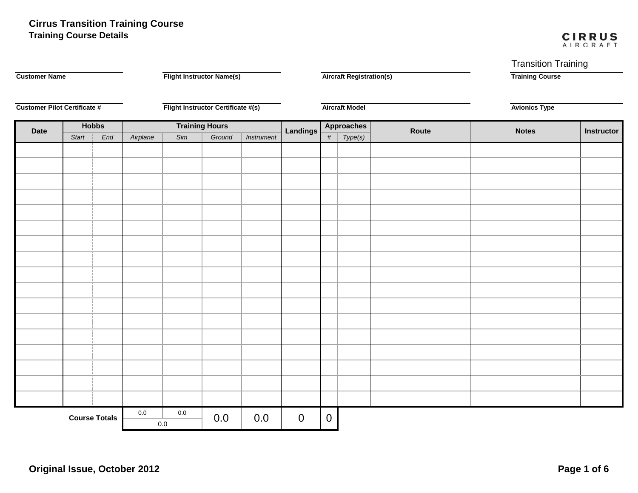# **Training Course Details Cirrus Transition Training Course**

#### **CIRRUS** AIRCRAFT

Transition Training

| <b>Customer Name</b><br><b>Customer Pilot Certificate #</b> |       |              | <b>Flight Instructor Name(s)</b>   |         |                       |             | <b>Aircraft Registration(s)</b> |                       |         | <b>Training Course</b> |              |                   |
|-------------------------------------------------------------|-------|--------------|------------------------------------|---------|-----------------------|-------------|---------------------------------|-----------------------|---------|------------------------|--------------|-------------------|
|                                                             |       |              | Flight Instructor Certificate #(s) |         |                       |             |                                 | <b>Aircraft Model</b> |         | <b>Avionics Type</b>   |              |                   |
| <b>Date</b>                                                 |       | <b>Hobbs</b> |                                    |         | <b>Training Hours</b> |             | <b>Landings</b>                 | <b>Approaches</b>     |         | Route                  | <b>Notes</b> | <b>Instructor</b> |
|                                                             | Start | End          | Airplane                           | Sim     | Ground                | Instrument  |                                 | $\#$                  | Type(s) |                        |              |                   |
|                                                             |       |              |                                    |         |                       |             |                                 |                       |         |                        |              |                   |
|                                                             |       |              |                                    |         |                       |             |                                 |                       |         |                        |              |                   |
|                                                             |       |              |                                    |         |                       |             |                                 |                       |         |                        |              |                   |
|                                                             |       |              |                                    |         |                       |             |                                 |                       |         |                        |              |                   |
|                                                             |       |              |                                    |         |                       |             |                                 |                       |         |                        |              |                   |
|                                                             |       |              |                                    |         |                       |             |                                 |                       |         |                        |              |                   |
|                                                             |       |              |                                    |         |                       |             |                                 |                       |         |                        |              |                   |
|                                                             |       |              |                                    |         |                       |             |                                 |                       |         |                        |              |                   |
|                                                             |       |              |                                    |         |                       |             |                                 |                       |         |                        |              |                   |
|                                                             |       |              |                                    |         |                       |             |                                 |                       |         |                        |              |                   |
|                                                             |       |              |                                    |         |                       |             |                                 |                       |         |                        |              |                   |
|                                                             |       |              |                                    |         |                       |             |                                 |                       |         |                        |              |                   |
|                                                             |       |              |                                    |         |                       |             |                                 |                       |         |                        |              |                   |
|                                                             |       |              |                                    |         |                       |             |                                 |                       |         |                        |              |                   |
|                                                             |       |              |                                    |         |                       |             |                                 |                       |         |                        |              |                   |
|                                                             |       |              |                                    |         |                       |             |                                 |                       |         |                        |              |                   |
|                                                             |       |              |                                    |         |                       |             |                                 |                       |         |                        |              |                   |
|                                                             |       |              |                                    |         |                       |             |                                 |                       |         |                        |              |                   |
|                                                             |       |              |                                    |         |                       |             |                                 |                       |         |                        |              |                   |
|                                                             |       |              |                                    |         |                       |             |                                 |                       |         |                        |              |                   |
|                                                             |       |              | $0.0\,$                            | $0.0\,$ |                       |             |                                 |                       |         |                        |              |                   |
| <b>Course Totals</b>                                        |       |              | $0.0\,$                            | 0.0     | 0.0                   | $\mathbf 0$ | $\overline{0}$                  |                       |         |                        |              |                   |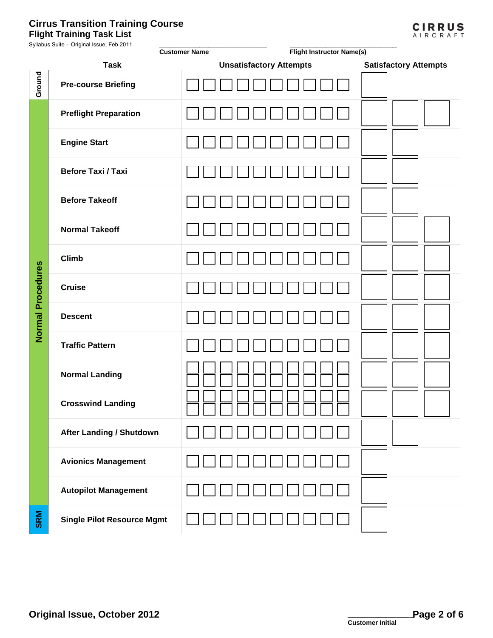## **Flight Training Task List Cirrus Transition Training Course**

| <b>CIRRUS</b> |
|---------------|
| AIRCRAFT      |

| Syllabus Suite - Original Issue, Feb 2011 |                                   | <b>Customer Name</b> | <b>Flight Instructor Name(s)</b> |                              |  |
|-------------------------------------------|-----------------------------------|----------------------|----------------------------------|------------------------------|--|
|                                           | <b>Task</b>                       |                      | <b>Unsatisfactory Attempts</b>   | <b>Satisfactory Attempts</b> |  |
| Ground                                    | <b>Pre-course Briefing</b>        |                      |                                  |                              |  |
|                                           | <b>Preflight Preparation</b>      |                      |                                  |                              |  |
|                                           | <b>Engine Start</b>               |                      |                                  |                              |  |
|                                           | <b>Before Taxi / Taxi</b>         |                      |                                  |                              |  |
|                                           | <b>Before Takeoff</b>             |                      |                                  |                              |  |
|                                           | <b>Normal Takeoff</b>             |                      |                                  |                              |  |
|                                           | <b>Climb</b>                      |                      |                                  |                              |  |
| <b>Normal Procedures</b>                  | <b>Cruise</b>                     |                      |                                  |                              |  |
|                                           | <b>Descent</b>                    |                      |                                  |                              |  |
|                                           | <b>Traffic Pattern</b>            |                      |                                  |                              |  |
|                                           | <b>Normal Landing</b>             |                      |                                  |                              |  |
|                                           | <b>Crosswind Landing</b>          |                      |                                  |                              |  |
|                                           | <b>After Landing / Shutdown</b>   |                      |                                  |                              |  |
|                                           | <b>Avionics Management</b>        |                      |                                  |                              |  |
|                                           | <b>Autopilot Management</b>       |                      |                                  |                              |  |
| <b>SRM</b>                                | <b>Single Pilot Resource Mgmt</b> |                      |                                  |                              |  |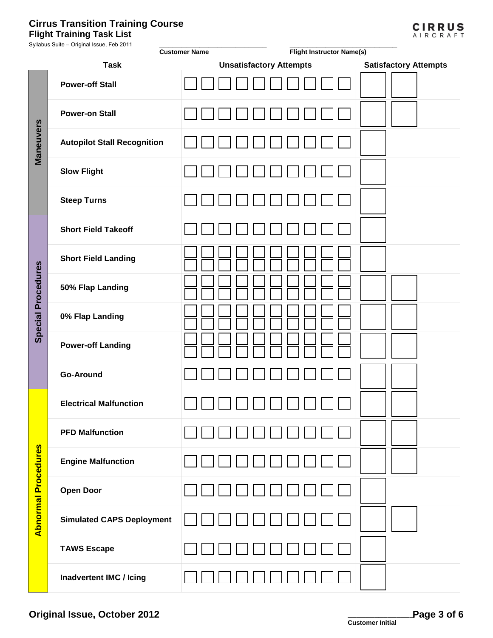### **Flight Training Task List Cirrus Transition Training Course**

| <b>Flight Training Task List</b>          |                      |                                  |                  |
|-------------------------------------------|----------------------|----------------------------------|------------------|
| Syllabus Suite - Original Issue, Feb 2011 | <b>Customer Name</b> | <b>Flight Instructor Name(s)</b> |                  |
| Task                                      |                      | <b>Unsatisfactory Attempts</b>   | <b>Satisfact</b> |
|                                           |                      |                                  |                  |

|                            | <b>Task</b>                        | <b>Unsatisfactory Attempts</b> | <b>Satisfactory Attempts</b> |  |  |
|----------------------------|------------------------------------|--------------------------------|------------------------------|--|--|
|                            | <b>Power-off Stall</b>             |                                |                              |  |  |
| Maneuvers                  | <b>Power-on Stall</b>              |                                |                              |  |  |
|                            | <b>Autopilot Stall Recognition</b> |                                |                              |  |  |
|                            | <b>Slow Flight</b>                 |                                |                              |  |  |
|                            | <b>Steep Turns</b>                 |                                |                              |  |  |
|                            | <b>Short Field Takeoff</b>         |                                |                              |  |  |
| <b>Special Procedures</b>  | <b>Short Field Landing</b>         |                                |                              |  |  |
|                            | 50% Flap Landing                   |                                |                              |  |  |
|                            | 0% Flap Landing                    |                                |                              |  |  |
|                            | <b>Power-off Landing</b>           |                                |                              |  |  |
|                            | <b>Go-Around</b>                   |                                |                              |  |  |
|                            | <b>Electrical Malfunction</b>      |                                |                              |  |  |
|                            | <b>PFD Malfunction</b>             |                                |                              |  |  |
| <b>Abnormal Procedures</b> | <b>Engine Malfunction</b>          |                                |                              |  |  |
|                            | <b>Open Door</b>                   |                                |                              |  |  |
|                            | <b>Simulated CAPS Deployment</b>   |                                |                              |  |  |
|                            | <b>TAWS Escape</b>                 |                                |                              |  |  |
|                            | Inadvertent IMC / Icing            |                                |                              |  |  |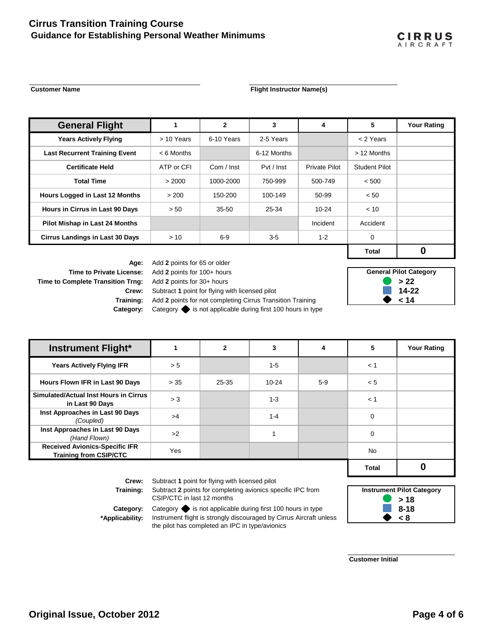## **Guidance for Establishing Personal Weather Minimums Cirrus Transition Training Course**

#### **Customer Name Customer Name Flight Instructor Name(s)**

| <b>General Flight</b>                  |              | $\mathbf{2}$ | 3           | 4             | 5             | <b>Your Rating</b> |
|----------------------------------------|--------------|--------------|-------------|---------------|---------------|--------------------|
| <b>Years Actively Flying</b>           | > 10 Years   | 6-10 Years   | 2-5 Years   |               | < 2 Years     |                    |
| <b>Last Recurrent Training Event</b>   | $< 6$ Months |              | 6-12 Months |               | > 12 Months   |                    |
| <b>Certificate Held</b>                | ATP or CFI   | Com / Inst   | Pvt / Inst  | Private Pilot | Student Pilot |                    |
| <b>Total Time</b>                      | > 2000       | 1000-2000    | 750-999     | 500-749       | < 500         |                    |
| Hours Logged in Last 12 Months         | > 200        | 150-200      | 100-149     | 50-99         | < 50          |                    |
| Hours in Cirrus in Last 90 Days        | > 50         | 35-50        | 25-34       | $10 - 24$     | < 10          |                    |
| Pilot Mishap in Last 24 Months         |              |              |             | Incident      | Accident      |                    |
| <b>Cirrus Landings in Last 30 Days</b> | > 10         | 6-9          | $3-5$       | $1 - 2$       | 0             |                    |
|                                        |              |              |             |               | <b>Total</b>  | O                  |

**Time to Complete Transition Trng:** Add 2 points for 30+ hours

**Age:** Add **2** points for 65 or older **Time to Private License:** Add **2** points for 100+ hours **Crew:** Subtract **1** point for flying with licensed pilot **Training:** Add 2 points for not completing Cirrus Transition Training

**Category:** Category  $\blacklozenge$  is not applicable during first 100 hours in type

| <b>General Pilot Category</b> |  |  |  |  |  |
|-------------------------------|--|--|--|--|--|
| >22                           |  |  |  |  |  |
| $14 - 22$                     |  |  |  |  |  |
| 14                            |  |  |  |  |  |

**CIRRUS** AIRCRAFT

| <b>Instrument Flight*</b>                                              |      | $\mathbf{2}$ |           | 4     | 5         | <b>Your Rating</b> |
|------------------------------------------------------------------------|------|--------------|-----------|-------|-----------|--------------------|
| <b>Years Actively Flying IFR</b>                                       | > 5  |              | $1-5$     |       | < 1       |                    |
| Hours Flown IFR in Last 90 Days                                        | > 35 | 25-35        | $10 - 24$ | $5-9$ | < 5       |                    |
| Simulated/Actual Inst Hours in Cirrus<br>in Last 90 Days               | > 3  |              | $1 - 3$   |       | < 1       |                    |
| Inst Approaches in Last 90 Days<br>(Coupled)                           | >4   |              | $1 - 4$   |       | 0         |                    |
| Inst Approaches in Last 90 Days<br>(Hand Flown)                        | >2   |              |           |       | 0         |                    |
| <b>Received Avionics-Specific IFR</b><br><b>Training from CSIP/CTC</b> | Yes  |              |           |       | <b>No</b> |                    |
|                                                                        |      |              |           |       | Total     |                    |

**Training:**

**Crew:** Subtract **1** point for flying with licensed pilot

Subtract **2** points for completing avionics specific IPC from CSIP/CTC in last 12 months

**Category:** Category  $\blacklozenge$  is not applicable during first 100 hours in type **8-18 \*Applicability:** Instrument flight is strongly discouraged by Cirrus Aircraft unless  $\bullet$  < 8 the pilot has completed an IPC in type/avionics



**Customer Initial**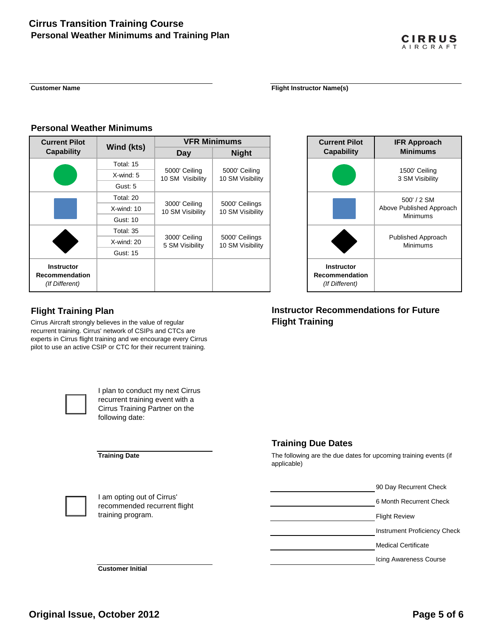#### **Customer Name Flight Instructor Name Flight Instructor Name**(s)

#### **Personal Weather Minimums**

| <b>Current Pilot</b>                                         |                 | <b>VFR Minimums</b>               |                                    |  |  |
|--------------------------------------------------------------|-----------------|-----------------------------------|------------------------------------|--|--|
| <b>Capability</b>                                            | Wind (kts)      | Day                               | <b>Night</b>                       |  |  |
|                                                              | Total: 15       |                                   |                                    |  |  |
|                                                              | $X$ -wind: 5    | 5000' Ceiling<br>10 SM Visibility | 5000' Ceiling<br>10 SM Visibility  |  |  |
|                                                              | Gust: 5         |                                   |                                    |  |  |
|                                                              | Total: 20       |                                   |                                    |  |  |
|                                                              | $X$ -wind: 10   | 3000' Ceiling<br>10 SM Visibility | 5000' Ceilings<br>10 SM Visibility |  |  |
|                                                              | Gust: 10        |                                   |                                    |  |  |
|                                                              | Total: 35       |                                   |                                    |  |  |
|                                                              | $X$ -wind: 20   | 3000' Ceiling<br>5 SM Visibility  | 5000' Ceilings<br>10 SM Visibility |  |  |
|                                                              | <b>Gust: 15</b> |                                   |                                    |  |  |
| <b>Instructor</b><br><b>Recommendation</b><br>(If Different) |                 |                                   |                                    |  |  |

### **Instructor Recommendation** *(If Different)* 500' / 2 SM Above Published Approach Minimums Published Approach Minimums **Current Pilot Capability IFR Approach Minimums** 1500' Ceiling 3 SM Visibility

**CIRRUS** AIRCRAFT

## **Flight Training Plan**

Cirrus Aircraft strongly believes in the value of regular recurrent training. Cirrus' network of CSIPs and CTCs are experts in Cirrus flight training and we encourage every Cirrus pilot to use an active CSIP or CTC for their recurrent training.



I plan to conduct my next Cirrus recurrent training event with a Cirrus Training Partner on the following date:

#### **Training Date**

## **Training Due Dates**

**Flight Training**

The following are the due dates for upcoming training events (if applicable)

**Instructor Recommendations for Future** 



I am opting out of Cirrus' recommended recurrent flight training program.



Icing Awareness Course

**Customer Initial**